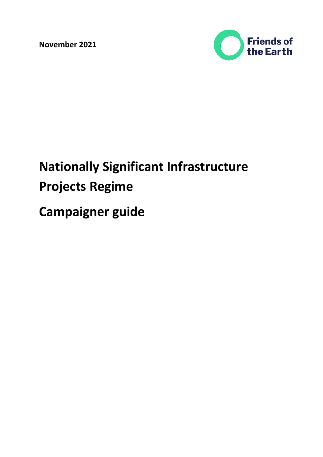**November 2021**



# **Nationally Significant Infrastructure Projects Regime**

**Campaigner guide**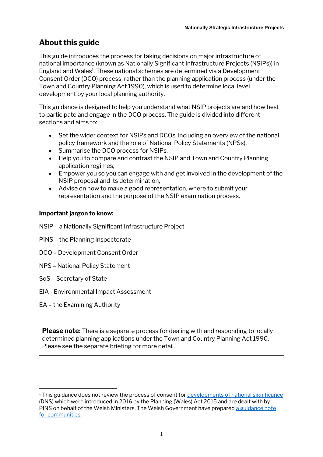# **About this guide**

This guide introduces the process for taking decisions on major infrastructure of national importance (known as Nationally Significant Infrastructure Projects (NSIPs)) in England and Wales<sup>1</sup>. These national schemes are determined via a Development Consent Order (DCO) process, rather than the planning application process (under the Town and Country Planning Act 1990), which is used to determine local level development by your local planning authority.

This guidance is designed to help you understand what NSIP projects are and how best to participate and engage in the DCO process. The guide is divided into different sections and aims to:

- Set the wider context for NSIPs and DCOs, including an overview of the national policy framework and the role of National Policy Statements (NPSs),
- Summarise the DCO process for NSIPs,
- Help you to compare and contrast the NSIP and Town and Country Planning application regimes,
- Empower you so you can engage with and get involved in the development of the NSIP proposal and its determination,
- Advise on how to make a good representation, where to submit your representation and the purpose of the NSIP examination process.

## **Important jargon to know:**

- NSIP a Nationally Significant Infrastructure Project
- PINS the Planning Inspectorate
- DCO Development Consent Order
- NPS National Policy Statement
- SoS Secretary of State
- EIA Environmental Impact Assessment
- EA the Examining Authority

**Please note:** There is a separate process for dealing with and responding to locally determined planning applications under the Town and Country Planning Act 1990. Please see the separate briefing for more detail.

<sup>&</sup>lt;sup>1</sup> This guidance does not review the process of consent for [developments of national significance](https://gov.wales/sites/default/files/publications/2018-11/developments-of-national-significance-summary-of-changes.pdf) (DNS) which were introduced in 2016 by the Planning (Wales) Act 2015 and are dealt with by PINS on behalf of the Welsh Ministers. The Welsh Government have prepared a guidance note [for communities.](https://gov.wales/sites/default/files/publications/2019-07/developments-of-national-significance-dns-engaging-with-the-process.pdf)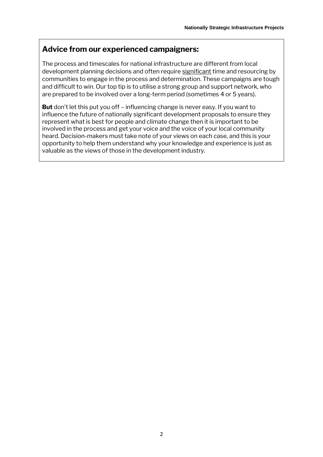# **Advice from our experienced campaigners:**

The process and timescales for national infrastructure are different from local development planning decisions and often require significant time and resourcing by communities to engage in the process and determination. These campaigns are tough and difficult to win. Our top tip is to utilise a strong group and support network, who are prepared to be involved over a long-term period (sometimes 4 or 5 years).

**But** don't let this put you off – influencing change is never easy. If you want to influence the future of nationally significant development proposals to ensure they represent what is best for people and climate change then it is important to be involved in the process and get your voice and the voice of your local community heard. Decision-makers must take note of your views on each case, and this is your opportunity to help them understand why your knowledge and experience is just as valuable as the views of those in the development industry.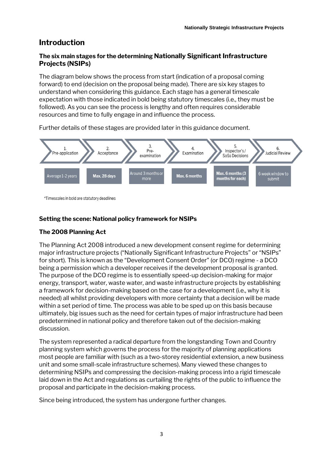# **Introduction**

## **The six main stages for the determining Nationally Significant Infrastructure Projects (NSIPs)**

The diagram below shows the process from start (indication of a proposal coming forward) to end (decision on the proposal being made). There are six key stages to understand when considering this guidance. Each stage has a general timescale expectation with those indicated in bold being statutory timescales (i.e., they must be followed). As you can see the process is lengthy and often requires considerable resources and time to fully engage in and influence the process.

Further details of these stages are provided later in this guidance document.



\*Timescales in bold are statutory deadlines

#### **Setting the scene: National policy framework for NSIPs**

#### **The 2008 Planning Act**

The Planning Act 2008 introduced a new development consent regime for determining major infrastructure projects ("Nationally Significant Infrastructure Projects" or "NSIPs" for short). This is known as the "Development Consent Order" (or DCO) regime - a DCO being a permission which a developer receives if the development proposal is granted. The purpose of the DCO regime is to essentially speed-up decision-making for major energy, transport, water, waste water, and waste infrastructure projects by establishing a framework for decision-making based on the case for a development (i.e., why it is needed) all whilst providing developers with more certainty that a decision will be made within a set period of time. The process was able to be sped up on this basis because ultimately, big issues such as the need for certain types of major infrastructure had been predetermined in national policy and therefore taken out of the decision-making discussion.

The system represented a radical departure from the longstanding Town and Country planning system which governs the process for the majority of planning applications most people are familiar with (such as a two-storey residential extension, a new business unit and some small-scale infrastructure schemes). Many viewed these changes to determining NSIPs and compressing the decision-making process into a rigid timescale laid down in the Act and regulations as curtailing the rights of the public to influence the proposal and participate in the decision-making process.

Since being introduced, the system has undergone further changes.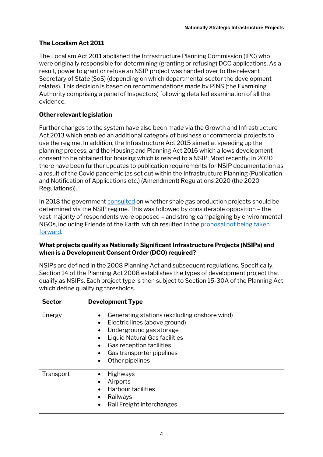## **The Localism Act 2011**

The Localism Act 2011 abolished the Infrastructure Planning Commission (IPC) who were originally responsible for determining (granting or refusing) DCO applications. As a result, power to grant or refuse an NSIP project was handed over to the relevant Secretary of State (SoS) (depending on which departmental sector the development relates). This decision is based on recommendations made by PINS (the Examining Authority comprising a panel of Inspectors) following detailed examination of all the evidence.

## **Other relevant legislation**

Further changes to the system have also been made via the Growth and Infrastructure Act 2013 which enabled an additional category of business or commercial projects to use the regime. In addition, the Infrastructure Act 2015 aimed at speeding up the planning process, and the Housing and Planning Act 2016 which allows development consent to be obtained for housing which is related to a NSIP. Most recently, in 2020 there have been further updates to publication requirements for NSIP documentation as a result of the Covid pandemic (as set out within the Infrastructure Planning (Publication and Notification of Applications etc.) (Amendment) Regulations 2020 (the 2020 Regulations)).

In 2018 the government [consulted](https://assets.publishing.service.gov.uk/government/uploads/system/uploads/attachment_data/file/727044/NSIP_Consultation_Document_Final.pdf) on whether shale gas production projects should be determined via the NSIP regime. This was followed by considerable opposition – the vast majority of respondents were opposed – and strong campaigning by environmental NGOs, including Friends of the Earth, which resulted in the proposal [not being taken](https://assets.publishing.service.gov.uk/government/uploads/system/uploads/attachment_data/file/844047/shale-gas-nsip-consultation-government-response.pdf)  [forward](https://assets.publishing.service.gov.uk/government/uploads/system/uploads/attachment_data/file/844047/shale-gas-nsip-consultation-government-response.pdf).

#### **What projects qualify as Nationally Significant Infrastructure Projects (NSIPs) and when is a Development Consent Order (DCO) required?**

NSIPs are defined in the 2008 Planning Act and subsequent regulations. Specifically, Section 14 of the Planning Act 2008 establishes the types of development project that qualify as NSIPs. Each project type is then subject to Section 15-30A of the Planning Act which define qualifying thresholds.

| <b>Sector</b> | <b>Development Type</b>                                                                                                                                                                                                                         |
|---------------|-------------------------------------------------------------------------------------------------------------------------------------------------------------------------------------------------------------------------------------------------|
| Energy        | Generating stations (excluding onshore wind)<br>$\bullet$<br>Electric lines (above ground)<br>$\bullet$<br>Underground gas storage<br>Liquid Natural Gas facilities<br>Gas reception facilities<br>Gas transporter pipelines<br>Other pipelines |
| Transport     | <b>Highways</b><br>$\bullet$<br>Airports<br><b>Harbour facilities</b><br>Railways<br>$\bullet$<br>Rail Freight interchanges                                                                                                                     |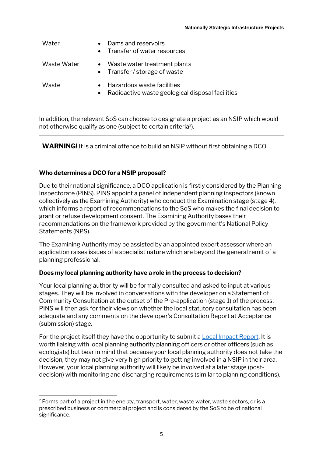| Water       | Dams and reservoirs<br>• Transfer of water resources                             |
|-------------|----------------------------------------------------------------------------------|
| Waste Water | • Waste water treatment plants<br>• Transfer / storage of waste                  |
| Waste       | Hazardous waste facilities<br>• Radioactive waste geological disposal facilities |

In addition, the relevant SoS can choose to designate a project as an NSIP which would not otherwise qualify as one (subject to certain criteria<sup>2</sup>).

**WARNING!** It is a criminal offence to build an NSIP without first obtaining a DCO.

#### **Who determines a DCO for a NSIP proposal?**

Due to their national significance, a DCO application is firstly considered by the Planning Inspectorate (PINS). PINS appoint a panel of independent planning inspectors (known collectively as the Examining Authority) who conduct the Examination stage (stage 4), which informs a report of recommendations to the SoS who makes the final decision to grant or refuse development consent. The Examining Authority bases their recommendations on the framework provided by the government's National Policy Statements (NPS).

The Examining Authority may be assisted by an appointed expert assessor where an application raises issues of a specialist nature which are beyond the general remit of a planning professional.

#### **Does my local planning authority have a role in the process to decision?**

Your local planning authority will be formally consulted and asked to input at various stages. They will be involved in conversations with the developer on a Statement of Community Consultation at the outset of the Pre-application (stage 1) of the process. PINS will then ask for their views on whether the local statutory consultation has been adequate and any comments on the developer's Consultation Report at Acceptance (submission) stage.

For the project itself they have the opportunity to submit [a Local Impact Report.](https://infrastructure.planninginspectorate.gov.uk/wp-content/uploads/2013/04/Advice-note-1v2.pdf) It is worth liaising with local planning authority planning officers or other officers (such as ecologists) but bear in mind that because your local planning authority does not take the decision, they may not give very high priority to getting involved in a NSIP in their area. However, your local planning authority will likely be involved at a later stage (postdecision) with monitoring and discharging requirements (similar to planning conditions).

 $2$  Forms part of a project in the energy, transport, water, waste water, waste sectors, or is a prescribed business or commercial project and is considered by the SoS to be of national significance.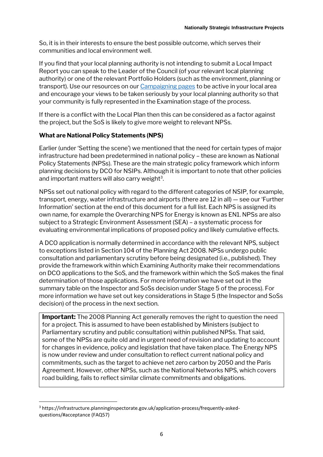So, it is in their interests to ensure the best possible outcome, which serves their communities and local environment well.

If you find that your local planning authority is not intending to submit a Local Impact Report you can speak to the Leader of the Council (of your relevant local planning authority) or one of the relevant Portfolio Holders (such as the environment, planning or transport). Use our resources on ou[r Campaigning pages](https://takeclimateaction.uk/resources?resource_type=All) to be active in your local area and encourage your views to be taken seriously by your local planning authority so that your community is fully represented in the Examination stage of the process.

If there is a conflict with the Local Plan then this can be considered as a factor against the project, but the SoS is likely to give more weight to relevant NPSs.

#### **What are National Policy Statements (NPS)**

Earlier (under 'Setting the scene') we mentioned that the need for certain types of major infrastructure had been predetermined in national policy – these are known as National Policy Statements (NPSs). These are the main strategic policy framework which inform planning decisions by DCO for NSIPs. Although it is important to note that other policies and important matters will also carry weight<sup>3</sup>.

NPSs set out national policy with regard to the different categories of NSIP, for example, transport, energy, water infrastructure and airports (there are 12 in all) — see our 'Further Information' section at the end of this document for a full list. Each NPS is assigned its own name, for example the Overarching NPS for Energy is known as EN1. NPSs are also subject to a Strategic Environment Assessment (SEA) – a systematic process for evaluating environmental implications of proposed policy and likely cumulative effects.

A DCO application is normally determined in accordance with the relevant NPS, subject to exceptions listed in Section 104 of the Planning Act 2008. NPSs undergo public consultation and parliamentary scrutiny before being designated (i.e., published). They provide the framework within which Examining Authority make their recommendations on DCO applications to the SoS, and the framework within which the SoS makes the final determination of those applications. For more information we have set out in the summary table on the Inspector and SoSs decision under Stage 5 of the process). For more information we have set out key considerations in Stage 5 (the Inspector and SoSs decision) of the process in the next section.

**Important:** The 2008 Planning Act generally removes the right to question the need for a project. This is assumed to have been established by Ministers (subject to Parliamentary scrutiny and public consultation) within published NPSs. That said, some of the NPSs are quite old and in urgent need of revision and updating to account for changes in evidence, policy and legislation that have taken place. The Energy NPS is now under review and under consultation to reflect current national policy and commitments, such as the target to achieve net zero carbon by 2050 and the Paris Agreement. However, other NPSs, such as the National Networks NPS, which covers road building, fails to reflect similar climate commitments and obligations.

<sup>3</sup> https://infrastructure.planninginspectorate.gov.uk/application-process/frequently-askedquestions/#acceptance (FAQ57)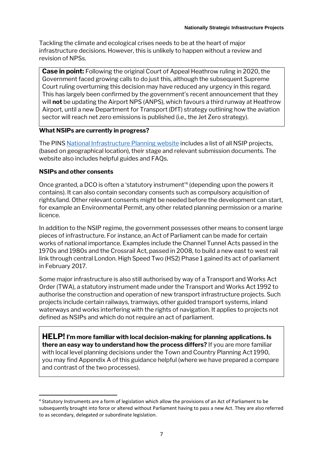Tackling the climate and ecological crises needs to be at the heart of major infrastructure decisions. However, this is unlikely to happen without a review and revision of NPSs.

**Case in point:** Following the original Court of Appeal Heathrow ruling in 2020, the Government faced growing calls to do just this, although the subsequent Supreme Court ruling overturning this decision may have reduced any urgency in this regard. This has largely been confirmed by the government's recent announcement that they will **not** be updating the Airport NPS (ANPS), which favours a third runway at Heathrow Airport, until a new Department for Transport (DfT) strategy outlining how the aviation sector will reach net zero emissions is published (i.e., the Jet Zero strategy).

#### **What NSIPs are currently in progress?**

The PINS [National Infrastructure Planning](https://infrastructure.planninginspectorate.gov.uk/) website includes a list of all NSIP projects, (based on geographical location), their stage and relevant submission documents. The website also includes helpful guides and FAQs.

#### **NSIPs and other consents**

Once granted, a DCO is often a 'statutory instrument' 4 (depending upon the powers it contains). It can also contain secondary consents such as compulsory acquisition of rights/land. Other relevant consents might be needed before the development can start, for example an Environmental Permit, any other related planning permission or a marine licence.

In addition to the NSIP regime, the government possesses other means to consent large pieces of infrastructure. For instance, an Act of Parliament can be made for certain works of national importance. Examples include the Channel Tunnel Acts passed in the 1970s and 1980s and the Crossrail Act, passed in 2008, to build a new east to west rail link through central London. High Speed Two (HS2) Phase 1 gained its act of parliament in February 2017.

Some major infrastructure is also still authorised by way of a Transport and Works Act Order (TWA), a statutory instrument made under the Transport and Works Act 1992 to authorise the construction and operation of new transport infrastructure projects. Such projects include certain railways, tramways, other guided transport systems, inland waterways and works interfering with the rights of navigation. It applies to projects not defined as NSIPs and which do not require an act of parliament.

**HELP! I'm more familiar with local decision-making for planning applications. Is there an easy way to understand how the process differs?** If you are more familiar with local level planning decisions under the Town and Country Planning Act 1990, you may find Appendix A of this guidance helpful (where we have prepared a compare and contrast of the two processes).

<sup>&</sup>lt;sup>4</sup> Statutory Instruments are a form of legislation which allow the provisions of an Act of Parliament to be subsequently brought into force or altered without Parliament having to pass a new Act. They are also referred to as secondary, delegated or subordinate legislation.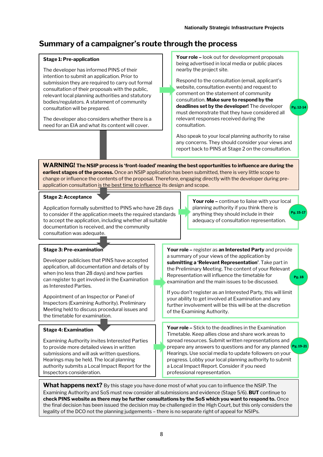# **Summary of a campaigner's route through the process**

#### **Stage 1: Pre-application**

The developer has informed PINS of their intention to submit an application. Prior to submission they are required to carry out formal consultation of their proposals with the public, relevant local planning authorities and statutory bodies/regulators. A statement of community consultation will be prepared.

The developer also considers whether there is a need for an EIA and what its content will cover.

**Your role –** look out for development proposals being advertised in local media or public places nearby the project site.

Respond to the consultation (email, applicant's website, consultation events) and request to comment on the statement of community consultation. **Make sure to respond by the deadlines set by the developer!** The developer must demonstrate that they have considered all relevant responses received during the consultation.

**Pg. 12-14**

Also speak to your local planning authority to raise any concerns. They should consider your views and report back to PINS at Stage 2 on the consultation.

**WARNING! The NSIP process is 'front-loaded' meaning the best opportunities to influence are during the earliest stages of the process.** Once an NSIP application has been submitted, there is very little scope to change or influence the contents of the proposal. Therefore, engaging directly with the developer during preapplication consultation is the best time to influence its design and scope.

#### **Stage 2: Acceptance**

Application formally submitted to PINS who have 28 days to consider if the application meets the required standards to accept the application, including whether all suitable documentation is received, and the community consultation was adequate.

**Your role –** continue to liaise with your local planning authority if you think there is anything they should include in their adequacy of consultation representation. **Pg. 15-17**

#### **Stage 3: Pre-examination**

Developer publicises that PINS have accepted application, all documentation and details of by when (no less than 28 days) and how parties can register to get involved in the Examination as Interested Parties.

Appointment of an Inspector or Panel of Inspectors (Examining Authority). Preliminary Meeting held to discuss procedural issues and the timetable for examination.

#### **Stage 4: Examination**

Examining Authority invites Interested Parties to provide more detailed views in written submissions and will ask written questions. Hearings may be held. The local planning authority submits a Local Impact Report for the Inspectors consideration.

**Your role –** register as **an Interested Party** and provide a summary of your views of the application by **submitting a 'Relevant Representation'**. Take part in the Preliminary Meeting. The content of your Relevant Representation will influence the timetable for examination and the main issues to be discussed. **Pg. 18**

If you don't register as an Interested Party, this will limit your ability to get involved at Examination and any further involvement will be this will be at the discretion of the Examining Authority.

**Your role –** Stick to the deadlines in the Examination Timetable. Keep allies close and share work areas to spread resources. Submit written representations and prepare any answers to questions and for any planned **Pg. 19-21**Hearings. Use social media to update followers on your progress. Lobby your local planning authority to submit a Local Impact Report. Consider if you need professional representation.

**What happens next?** By this stage you have done most of what you can to influence the NSIP. The Examining Authority and SoS must now consider all submissions and evidence (Stage 5/6). **BUT** continue to **check PINS website as there may be further consultations by the SoS which you want to respond to.** Once the final decision has been issued the decision may be challenged in the High Court, but this only considers the legality of the DCO not the planning judgements – there is no separate right of appeal for NSIPs.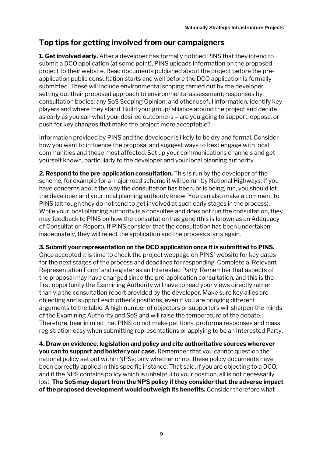# **Top tips for getting involved from our campaigners**

**1. Get involved early.** After a developer has formally notified PINS that they intend to submit a DCO application (at some point), PINS uploads information on the proposed project to their website. Read documents published about the project before the preapplication public consultation starts and well before the DCO application is formally submitted. These will include environmental scoping carried out by the developer setting out their proposed approach to environmental assessment; responses by consultation bodies; any SoS Scoping Opinion; and other useful information. Identify key players and where they stand. Build your group/ alliance around the project and decide as early as you can what your desired outcome is – are you going to support, oppose, or push for key changes that make the project more acceptable?

Information provided by PINS and the developer is likely to be dry and formal. Consider how you want to influence the proposal and suggest ways to best engage with local communities and those most affected. Set up your communications channels and get yourself known, particularly to the developer and your local planning authority.

**2. Respond to the pre-application consultation.** This is run by the developer of the scheme, for example for a major road scheme it will be run by National Highways. If you have concerns about the way the consultation has been, or is being, run, you should let the developer and your local planning authority know. You can also make a comment to PINS (although they do not tend to get involved at such early stages in the process). While your local planning authority is a consultee and does not run the consultation, they may feedback to PINS on how the consultation has gone (this is known as an Adequacy of Consultation Report). If PINS consider that the consultation has been undertaken inadequately, they will reject the application and the process starts again.

**3. Submit your representation on the DCO application once it is submitted to PINS.**  Once accepted it is time to check the project webpage on PINS' website for key dates for the next stages of the process and deadlines for responding. Complete a 'Relevant Representation Form' and register as an Interested Party. Remember that aspects of the proposal may have changed since the pre-application consultation, and this is the first opportunity the Examining Authority will have to read your views directly rather than via the consultation report provided by the developer. Make sure key allies are objecting and support each other's positions, even if you are bringing different arguments to the table. A high number of objectors or supporters will sharpen the minds of the Examining Authority and SoS and will raise the temperature of the debate. Therefore, bear in mind that PINS do not make petitions, proforma responses and mass registration easy when submitting representations or applying to be an Interested Party.

**4. Draw on evidence, legislation and policy and cite authoritative sources wherever you can to support and bolster your case.** Remember that you cannot question the national policy set out within NPSs; only whether or not these policy documents have been correctly applied in this specific instance. That said, if you are objecting to a DCO, and if the NPS contains policy which is unhelpful to your position, all is not necessarily lost. **The SoS may depart from the NPS policy if they consider that the adverse impact of the proposed development would outweigh its benefits.** Consider therefore what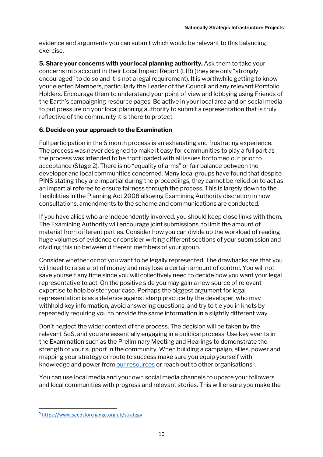evidence and arguments you can submit which would be relevant to this balancing exercise.

**5. Share your concerns with your local planning authority.** Ask them to take your concerns into account in their Local Impact Report (LIR) (they are only "strongly encouraged" to do so and it is not a legal requirement). It is worthwhile getting to know your elected Members, particularly the Leader of the Council and any relevant Portfolio Holders. Encourage them to understand your point of view and lobbying using Friends of the Earth's campaigning resource pages. Be active in your local area and on social media to put pressure on your local planning authority to submit a representation that is truly reflective of the community it is there to protect.

#### **6. Decide on your approach to the Examination**

Full participation in the 6 month process is an exhausting and frustrating experience. The process was never designed to make it easy for communities to play a full part as the process was intended to be front loaded with all issues bottomed out prior to acceptance (Stage 2). There is no "equality of arms" or fair balance between the developer and local communities concerned. Many local groups have found that despite PINS stating they are impartial during the proceedings, they cannot be relied on to act as an impartial referee to ensure fairness through the process. This is largely down to the flexibilities in the Planning Act 2008 allowing Examining Authority discretion in how consultations, amendments to the scheme and communications are conducted.

If you have allies who are independently involved, you should keep close links with them. The Examining Authority will encourage joint submissions, to limit the amount of material from different parties. Consider how you can divide up the workload of reading huge volumes of evidence or consider writing different sections of your submission and dividing this up between different members of your group.

Consider whether or not you want to be legally represented. The drawbacks are that you will need to raise a lot of money and may lose a certain amount of control. You will not save yourself any time since you will collectively need to decide how you want your legal representative to act. On the positive side you may gain a new source of relevant expertise to help bolster your case. Perhaps the biggest argument for legal representation is as a defence against sharp practice by the developer, who may withhold key information, avoid answering questions, and try to tie you in knots by repeatedly requiring you to provide the same information in a slightly different way.

Don't neglect the wider context of the process. The decision will be taken by the relevant SoS, and you are essentially engaging in a political process. Use key events in the Examination such as the Preliminary Meeting and Hearings to demonstrate the strength of your support in the community. When building a campaign, allies, power and mapping your strategy or route to success make sure you equip yourself with knowledge and power fro[m our resources](https://campaigning.friendsoftheearth.uk/) or reach out to other organisations<sup>5</sup>.

You can use local media and your own social media channels to update your followers and local communities with progress and relevant stories. This will ensure you make the

<sup>5</sup> <https://www.seedsforchange.org.uk/strategy>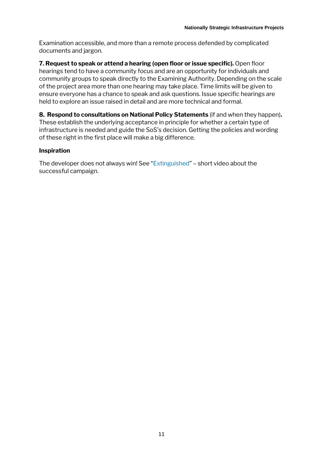Examination accessible, and more than a remote process defended by complicated documents and jargon.

**7. Request to speak or attend a hearing (open floor or issue specific).** Open floor hearings tend to have a community focus and are an opportunity for individuals and community groups to speak directly to the Examining Authority. Depending on the scale of the project area more than one hearing may take place. Time limits will be given to ensure everyone has a chance to speak and ask questions. Issue specific hearings are held to explore an issue raised in detail and are more technical and formal.

**8. Respond to consultations on National Policy Statements** (if and when they happen)**.**  These establish the underlying acceptance in principle for whether a certain type of infrastructure is needed and guide the SoS's decision. Getting the policies and wording of these right in the first place will make a big difference.

#### **Inspiration**

The developer does not always win! See "[Extinguished](https://www.youtube.com/watch?v=afApMXeup1E)" – short video about the successful campaign.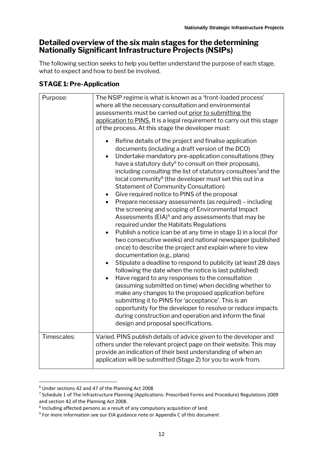# **Detailed overview of the six main stages for the determining Nationally Significant Infrastructure Projects (NSIPs)**

The following section seeks to help you better understand the purpose of each stage, what to expect and how to best be involved.

## **STAGE 1: Pre-Application**

| Purpose:    | The NSIP regime is what is known as a 'front-loaded process'<br>where all the necessary consultation and environmental<br>assessments must be carried out prior to submitting the<br>application to PINS. It is a legal requirement to carry out this stage<br>of the process. At this stage the developer must:<br>Refine details of the project and finalise application<br>documents (including a draft version of the DCO)<br>Undertake mandatory pre-application consultations (they<br>have a statutory duty <sup>6</sup> to consult on their proposals),<br>including consulting the list of statutory consultees <sup>7</sup> and the<br>local community <sup>8</sup> (the developer must set this out in a<br><b>Statement of Community Consultation)</b><br>Give required notice to PINS of the proposal<br>Prepare necessary assessments (as required) - including<br>$\bullet$<br>the screening and scoping of Environmental Impact<br>Assessments (EIA) <sup>9</sup> and any assessments that may be<br>required under the Habitats Regulations<br>Publish a notice (can be at any time in stage 1) in a local (for<br>two consecutive weeks) and national newspaper (published<br>once) to describe the project and explain where to view<br>documentation (e.g., plans)<br>Stipulate a deadline to respond to publicity (at least 28 days<br>following the date when the notice is last published)<br>Have regard to any responses to the consultation<br>$\bullet$<br>(assuming submitted on time) when deciding whether to<br>make any changes to the proposed application before<br>submitting it to PINS for 'acceptance'. This is an<br>opportunity for the developer to resolve or reduce impacts<br>during construction and operation and inform the final<br>design and proposal specifications. |
|-------------|-------------------------------------------------------------------------------------------------------------------------------------------------------------------------------------------------------------------------------------------------------------------------------------------------------------------------------------------------------------------------------------------------------------------------------------------------------------------------------------------------------------------------------------------------------------------------------------------------------------------------------------------------------------------------------------------------------------------------------------------------------------------------------------------------------------------------------------------------------------------------------------------------------------------------------------------------------------------------------------------------------------------------------------------------------------------------------------------------------------------------------------------------------------------------------------------------------------------------------------------------------------------------------------------------------------------------------------------------------------------------------------------------------------------------------------------------------------------------------------------------------------------------------------------------------------------------------------------------------------------------------------------------------------------------------------------------------------------------------------------------------------------------------------------------------------------------|
| Timescales: | Varied. PINS publish details of advice given to the developer and<br>others under the relevant project page on their website. This may<br>provide an indication of their best understanding of when an<br>application will be submitted (Stage 2) for you to work from.                                                                                                                                                                                                                                                                                                                                                                                                                                                                                                                                                                                                                                                                                                                                                                                                                                                                                                                                                                                                                                                                                                                                                                                                                                                                                                                                                                                                                                                                                                                                                 |

<sup>6</sup> Under sections 42 and 47 of the Planning Act 2008

<sup>&</sup>lt;sup>7</sup> Schedule 1 of The Infrastructure Planning (Applications: Prescribed Forms and Procedure) Regulations 2009 and section 42 of the Planning Act 2008.

<sup>&</sup>lt;sup>8</sup> Including affected persons as a result of any compulsory acquisition of land

<sup>&</sup>lt;sup>9</sup> For more information see our EIA guidance note or Appendix C of this document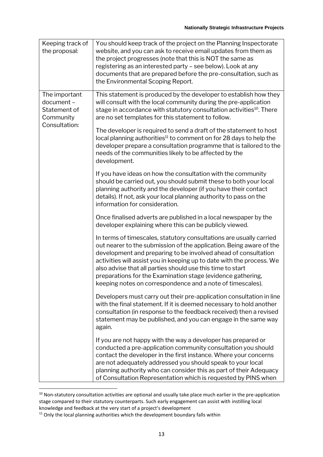| Keeping track of<br>the proposal:                                         | You should keep track of the project on the Planning Inspectorate<br>website, and you can ask to receive email updates from them as<br>the project progresses (note that this is NOT the same as<br>registering as an interested party - see below). Look at any<br>documents that are prepared before the pre-consultation, such as<br>the Environmental Scoping Report.                                                                                                        |
|---------------------------------------------------------------------------|----------------------------------------------------------------------------------------------------------------------------------------------------------------------------------------------------------------------------------------------------------------------------------------------------------------------------------------------------------------------------------------------------------------------------------------------------------------------------------|
| The important<br>document -<br>Statement of<br>Community<br>Consultation: | This statement is produced by the developer to establish how they<br>will consult with the local community during the pre-application<br>stage in accordance with statutory consultation activities <sup>10</sup> . There<br>are no set templates for this statement to follow.                                                                                                                                                                                                  |
|                                                                           | The developer is required to send a draft of the statement to host<br>local planning authorities <sup>11</sup> to comment on for 28 days to help the<br>developer prepare a consultation programme that is tailored to the<br>needs of the communities likely to be affected by the<br>development.                                                                                                                                                                              |
|                                                                           | If you have ideas on how the consultation with the community<br>should be carried out, you should submit these to both your local<br>planning authority and the developer (if you have their contact<br>details). If not, ask your local planning authority to pass on the<br>information for consideration.                                                                                                                                                                     |
|                                                                           | Once finalised adverts are published in a local newspaper by the<br>developer explaining where this can be publicly viewed.                                                                                                                                                                                                                                                                                                                                                      |
|                                                                           | In terms of timescales, statutory consultations are usually carried<br>out nearer to the submission of the application. Being aware of the<br>development and preparing to be involved ahead of consultation<br>activities will assist you in keeping up to date with the process. We<br>also advise that all parties should use this time to start<br>preparations for the Examination stage (evidence gathering,<br>keeping notes on correspondence and a note of timescales). |
|                                                                           | Developers must carry out their pre-application consultation in line<br>with the final statement. If it is deemed necessary to hold another<br>consultation (in response to the feedback received) then a revised<br>statement may be published, and you can engage in the same way<br>again.                                                                                                                                                                                    |
|                                                                           | If you are not happy with the way a developer has prepared or<br>conducted a pre-application community consultation you should<br>contact the developer in the first instance. Where your concerns<br>are not adequately addressed you should speak to your local<br>planning authority who can consider this as part of their Adequacy<br>of Consultation Representation which is requested by PINS when                                                                        |

 $10$  Non-statutory consultation activities are optional and usually take place much earlier in the pre-application stage compared to their statutory counterparts. Such early engagement can assist with instilling local knowledge and feedback at the very start of a project's development

 $11$  Only the local planning authorities which the development boundary falls within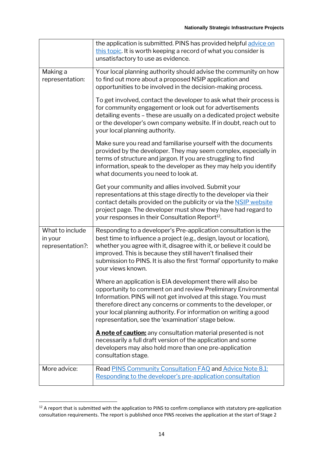|                                                | the application is submitted. PINS has provided helpful advice on<br>this topic. It is worth keeping a record of what you consider is<br>unsatisfactory to use as evidence.                                                                                                                                                                                                                 |
|------------------------------------------------|---------------------------------------------------------------------------------------------------------------------------------------------------------------------------------------------------------------------------------------------------------------------------------------------------------------------------------------------------------------------------------------------|
| Making a<br>representation:                    | Your local planning authority should advise the community on how<br>to find out more about a proposed NSIP application and<br>opportunities to be involved in the decision-making process.                                                                                                                                                                                                  |
|                                                | To get involved, contact the developer to ask what their process is<br>for community engagement or look out for advertisements<br>detailing events - these are usually on a dedicated project website<br>or the developer's own company website. If in doubt, reach out to<br>your local planning authority.                                                                                |
|                                                | Make sure you read and familiarise yourself with the documents<br>provided by the developer. They may seem complex, especially in<br>terms of structure and jargon. If you are struggling to find<br>information, speak to the developer as they may help you identify<br>what documents you need to look at.                                                                               |
|                                                | Get your community and allies involved. Submit your<br>representations at this stage directly to the developer via their<br>contact details provided on the publicity or via the <b>NSIP</b> website<br>project page. The developer must show they have had regard to<br>your responses in their Consultation Report <sup>12</sup> .                                                        |
| What to include<br>in your<br>representation?: | Responding to a developer's Pre-application consultation is the<br>best time to influence a project (e.g., design, layout or location),<br>whether you agree with it, disagree with it, or believe it could be<br>improved. This is because they still haven't finalised their<br>submission to PINS. It is also the first 'formal' opportunity to make<br>your views known.                |
|                                                | Where an application is EIA development there will also be<br>opportunity to comment on and review Preliminary Environmental<br>Information. PINS will not get involved at this stage. You must<br>therefore direct any concerns or comments to the developer, or<br>your local planning authority. For information on writing a good<br>representation, see the 'examination' stage below. |
|                                                | A note of caution: any consultation material presented is not<br>necessarily a full draft version of the application and some<br>developers may also hold more than one pre-application<br>consultation stage.                                                                                                                                                                              |
| More advice:                                   | Read PINS Community Consultation FAQ and Advice Note 8.1:<br>Responding to the developer's pre-application consultation                                                                                                                                                                                                                                                                     |

<sup>&</sup>lt;sup>12</sup> A report that is submitted with the application to PINS to confirm compliance with statutory pre-application consultation requirements. The report is published once PINS receives the application at the start of Stage 2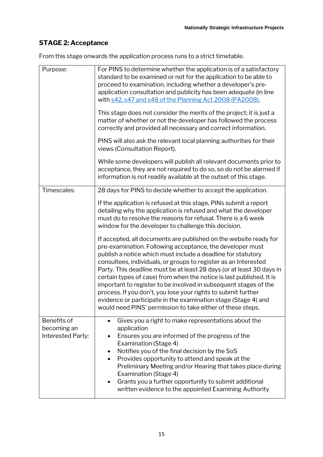# **STAGE 2: Acceptance**

From this stage onwards the application process runs to a strict timetable.

| Purpose:                                        | For PINS to determine whether the application is of a satisfactory<br>standard to be examined or not for the application to be able to<br>proceed to examination, including whether a developer's pre-<br>application consultation and publicity has been adequate (in line<br>with s42, s47 and s48 of the Planning Act 2008 (PA2008).<br>This stage does not consider the merits of the project; it is just a<br>matter of whether or not the developer has followed the process<br>correctly and provided all necessary and correct information.<br>PINS will also ask the relevant local planning authorities for their<br>views (Consultation Report).<br>While some developers will publish all relevant documents prior to |
|-------------------------------------------------|-----------------------------------------------------------------------------------------------------------------------------------------------------------------------------------------------------------------------------------------------------------------------------------------------------------------------------------------------------------------------------------------------------------------------------------------------------------------------------------------------------------------------------------------------------------------------------------------------------------------------------------------------------------------------------------------------------------------------------------|
|                                                 | acceptance, they are not required to do so, so do not be alarmed if<br>information is not readily available at the outset of this stage.                                                                                                                                                                                                                                                                                                                                                                                                                                                                                                                                                                                          |
| Timescales:                                     | 28 days for PINS to decide whether to accept the application.                                                                                                                                                                                                                                                                                                                                                                                                                                                                                                                                                                                                                                                                     |
|                                                 | If the application is refused at this stage, PINs submit a report<br>detailing why the application is refused and what the developer<br>must do to resolve the reasons for refusal. There is a 6 week<br>window for the developer to challenge this decision.                                                                                                                                                                                                                                                                                                                                                                                                                                                                     |
|                                                 | If accepted, all documents are published on the website ready for<br>pre-examination. Following acceptance, the developer must<br>publish a notice which must include a deadline for statutory<br>consultees, individuals, or groups to register as an Interested<br>Party. This deadline must be at least 28 days (or at least 30 days in<br>certain types of case) from when the notice is last published. It is<br>important to register to be involved in subsequent stages of the<br>process. If you don't, you lose your rights to submit further<br>evidence or participate in the examination stage (Stage 4) and<br>would need PINS' permission to take either of these steps.                                           |
| Benefits of<br>becoming an<br>Interested Party: | Gives you a right to make representations about the<br>$\bullet$<br>application<br>Ensures you are informed of the progress of the<br>Examination (Stage 4)<br>Notifies you of the final decision by the SoS<br>$\bullet$<br>Provides opportunity to attend and speak at the<br>Preliminary Meeting and/or Hearing that takes place during<br>Examination (Stage 4)<br>Grants you a further opportunity to submit additional<br>٠<br>written evidence to the appointed Examining Authority                                                                                                                                                                                                                                        |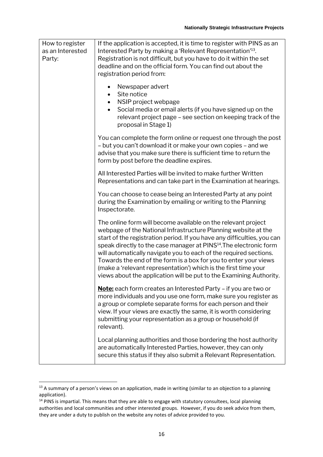| How to register<br>as an Interested<br>Party: | If the application is accepted, it is time to register with PINS as an<br>Interested Party by making a 'Relevant Representation' <sup>13</sup> .<br>Registration is not difficult, but you have to do it within the set<br>deadline and on the official form. You can find out about the<br>registration period from:                                                                                                                                                                                                                                                           |
|-----------------------------------------------|---------------------------------------------------------------------------------------------------------------------------------------------------------------------------------------------------------------------------------------------------------------------------------------------------------------------------------------------------------------------------------------------------------------------------------------------------------------------------------------------------------------------------------------------------------------------------------|
|                                               | Newspaper advert<br>$\bullet$<br>Site notice<br>NSIP project webpage<br>Social media or email alerts (if you have signed up on the<br>$\bullet$<br>relevant project page – see section on keeping track of the<br>proposal in Stage 1)                                                                                                                                                                                                                                                                                                                                          |
|                                               | You can complete the form online or request one through the post<br>- but you can't download it or make your own copies - and we<br>advise that you make sure there is sufficient time to return the<br>form by post before the deadline expires.                                                                                                                                                                                                                                                                                                                               |
|                                               | All Interested Parties will be invited to make further Written<br>Representations and can take part in the Examination at hearings.                                                                                                                                                                                                                                                                                                                                                                                                                                             |
|                                               | You can choose to cease being an Interested Party at any point<br>during the Examination by emailing or writing to the Planning<br>Inspectorate.                                                                                                                                                                                                                                                                                                                                                                                                                                |
|                                               | The online form will become available on the relevant project<br>webpage of the National Infrastructure Planning website at the<br>start of the registration period. If you have any difficulties, you can<br>speak directly to the case manager at PINS <sup>14</sup> . The electronic form<br>will automatically navigate you to each of the required sections.<br>Towards the end of the form is a box for you to enter your views<br>(make a 'relevant representation') which is the first time your<br>views about the application will be put to the Examining Authority. |
|                                               | Note: each form creates an Interested Party - if you are two or<br>more individuals and you use one form, make sure you register as<br>a group or complete separate forms for each person and their<br>view. If your views are exactly the same, it is worth considering<br>submitting your representation as a group or household (if<br>relevant).                                                                                                                                                                                                                            |
|                                               | Local planning authorities and those bordering the host authority<br>are automatically Interested Parties, however, they can only<br>secure this status if they also submit a Relevant Representation.                                                                                                                                                                                                                                                                                                                                                                          |

<sup>&</sup>lt;sup>13</sup> A summary of a person's views on an application, made in writing (similar to an objection to a planning application).

<sup>&</sup>lt;sup>14</sup> PINS is impartial. This means that they are able to engage with statutory consultees, local planning authorities and local communities and other interested groups. However, if you do seek advice from them, they are under a duty to publish on the website any notes of advice provided to you.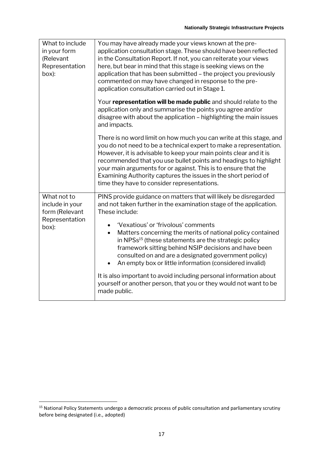| What to include<br>in your form<br>(Relevant<br>Representation<br>box):     | You may have already made your views known at the pre-<br>application consultation stage. These should have been reflected<br>in the Consultation Report. If not, you can reiterate your views<br>here, but bear in mind that this stage is seeking views on the<br>application that has been submitted - the project you previously<br>commented on may have changed in response to the pre-<br>application consultation carried out in Stage 1.                                                                                                                                                                                                                                                  |
|-----------------------------------------------------------------------------|----------------------------------------------------------------------------------------------------------------------------------------------------------------------------------------------------------------------------------------------------------------------------------------------------------------------------------------------------------------------------------------------------------------------------------------------------------------------------------------------------------------------------------------------------------------------------------------------------------------------------------------------------------------------------------------------------|
|                                                                             | Your representation will be made public and should relate to the<br>application only and summarise the points you agree and/or<br>disagree with about the application - highlighting the main issues<br>and impacts.                                                                                                                                                                                                                                                                                                                                                                                                                                                                               |
|                                                                             | There is no word limit on how much you can write at this stage, and<br>you do not need to be a technical expert to make a representation.<br>However, it is advisable to keep your main points clear and it is<br>recommended that you use bullet points and headings to highlight<br>your main arguments for or against. This is to ensure that the<br>Examining Authority captures the issues in the short period of<br>time they have to consider representations.                                                                                                                                                                                                                              |
| What not to<br>include in your<br>form (Relevant<br>Representation<br>box): | PINS provide guidance on matters that will likely be disregarded<br>and not taken further in the examination stage of the application.<br>These include:<br>'Vexatious' or 'frivolous' comments<br>Matters concerning the merits of national policy contained<br>$\bullet$<br>in NPSs <sup>15</sup> (these statements are the strategic policy<br>framework sitting behind NSIP decisions and have been<br>consulted on and are a designated government policy)<br>An empty box or little information (considered invalid)<br>$\bullet$<br>It is also important to avoid including personal information about<br>yourself or another person, that you or they would not want to be<br>made public. |

<sup>&</sup>lt;sup>15</sup> National Policy Statements undergo a democratic process of public consultation and parliamentary scrutiny before being designated (i.e., adopted)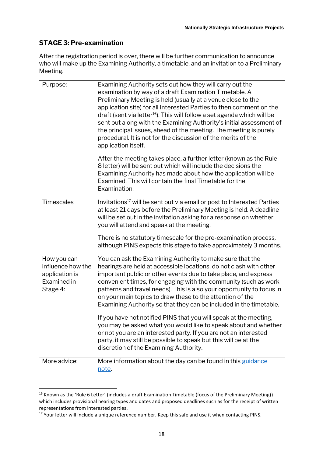# **STAGE 3: Pre-examination**

After the registration period is over, there will be further communication to announce who will make up the Examining Authority, a timetable, and an invitation to a Preliminary Meeting.

| Purpose:                                                                      | Examining Authority sets out how they will carry out the<br>examination by way of a draft Examination Timetable. A<br>Preliminary Meeting is held (usually at a venue close to the<br>application site) for all Interested Parties to then comment on the<br>draft (sent via letter <sup>16</sup> ). This will follow a set agenda which will be<br>sent out along with the Examining Authority's initial assessment of<br>the principal issues, ahead of the meeting. The meeting is purely<br>procedural. It is not for the discussion of the merits of the<br>application itself.                                                                                                                                                                                                                        |
|-------------------------------------------------------------------------------|-------------------------------------------------------------------------------------------------------------------------------------------------------------------------------------------------------------------------------------------------------------------------------------------------------------------------------------------------------------------------------------------------------------------------------------------------------------------------------------------------------------------------------------------------------------------------------------------------------------------------------------------------------------------------------------------------------------------------------------------------------------------------------------------------------------|
|                                                                               | After the meeting takes place, a further letter (known as the Rule<br>8 letter) will be sent out which will include the decisions the<br>Examining Authority has made about how the application will be<br>Examined. This will contain the final Timetable for the<br>Examination.                                                                                                                                                                                                                                                                                                                                                                                                                                                                                                                          |
| <b>Timescales</b>                                                             | Invitations <sup>17</sup> will be sent out via email or post to Interested Parties<br>at least 21 days before the Preliminary Meeting is held. A deadline<br>will be set out in the invitation asking for a response on whether<br>you will attend and speak at the meeting.<br>There is no statutory timescale for the pre-examination process,<br>although PINS expects this stage to take approximately 3 months.                                                                                                                                                                                                                                                                                                                                                                                        |
| How you can<br>influence how the<br>application is<br>Examined in<br>Stage 4: | You can ask the Examining Authority to make sure that the<br>hearings are held at accessible locations, do not clash with other<br>important public or other events due to take place, and express<br>convenient times, for engaging with the community (such as work<br>patterns and travel needs). This is also your opportunity to focus in<br>on your main topics to draw these to the attention of the<br>Examining Authority so that they can be included in the timetable.<br>If you have not notified PINS that you will speak at the meeting,<br>you may be asked what you would like to speak about and whether<br>or not you are an interested party. If you are not an interested<br>party, it may still be possible to speak but this will be at the<br>discretion of the Examining Authority. |
| More advice:                                                                  | More information about the day can be found in this guidance<br><u>note</u> .                                                                                                                                                                                                                                                                                                                                                                                                                                                                                                                                                                                                                                                                                                                               |

<sup>&</sup>lt;sup>16</sup> Known as the 'Rule 6 Letter' (includes a draft Examination Timetable (focus of the Preliminary Meeting)) which includes provisional hearing types and dates and proposed deadlines such as for the receipt of written representations from interested parties.

<sup>&</sup>lt;sup>17</sup> Your letter will include a unique reference number. Keep this safe and use it when contacting PINS.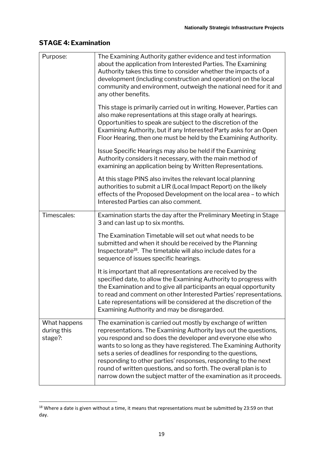# **STAGE 4: Examination**

| Purpose:                               | The Examining Authority gather evidence and test information<br>about the application from Interested Parties. The Examining<br>Authority takes this time to consider whether the impacts of a<br>development (including construction and operation) on the local<br>community and environment, outweigh the national need for it and<br>any other benefits.                                                                                                                                                                                   |
|----------------------------------------|------------------------------------------------------------------------------------------------------------------------------------------------------------------------------------------------------------------------------------------------------------------------------------------------------------------------------------------------------------------------------------------------------------------------------------------------------------------------------------------------------------------------------------------------|
|                                        | This stage is primarily carried out in writing. However, Parties can<br>also make representations at this stage orally at hearings.<br>Opportunities to speak are subject to the discretion of the<br>Examining Authority, but if any Interested Party asks for an Open<br>Floor Hearing, then one must be held by the Examining Authority.                                                                                                                                                                                                    |
|                                        | Issue Specific Hearings may also be held if the Examining<br>Authority considers it necessary, with the main method of<br>examining an application being by Written Representations.                                                                                                                                                                                                                                                                                                                                                           |
|                                        | At this stage PINS also invites the relevant local planning<br>authorities to submit a LIR (Local Impact Report) on the likely<br>effects of the Proposed Development on the local area - to which<br>Interested Parties can also comment.                                                                                                                                                                                                                                                                                                     |
| Timescales:                            | Examination starts the day after the Preliminary Meeting in Stage<br>3 and can last up to six months.                                                                                                                                                                                                                                                                                                                                                                                                                                          |
|                                        | The Examination Timetable will set out what needs to be<br>submitted and when it should be received by the Planning<br>Inspectorate <sup>18</sup> . The timetable will also include dates for a<br>sequence of issues specific hearings.                                                                                                                                                                                                                                                                                                       |
|                                        | It is important that all representations are received by the<br>specified date, to allow the Examining Authority to progress with<br>the Examination and to give all participants an equal opportunity<br>to read and comment on other Interested Parties' representations.<br>Late representations will be considered at the discretion of the<br>Examining Authority and may be disregarded.                                                                                                                                                 |
| What happens<br>during this<br>stage?: | The examination is carried out mostly by exchange of written<br>representations. The Examining Authority lays out the questions,<br>you respond and so does the developer and everyone else who<br>wants to so long as they have registered. The Examining Authority<br>sets a series of deadlines for responding to the questions,<br>responding to other parties' responses, responding to the next<br>round of written questions, and so forth. The overall plan is to<br>narrow down the subject matter of the examination as it proceeds. |

<sup>&</sup>lt;sup>18</sup> Where a date is given without a time, it means that representations must be submitted by 23:59 on that day.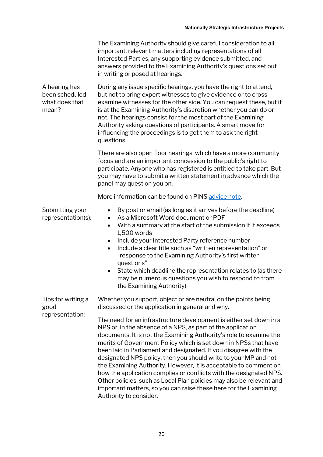|                                                              | The Examining Authority should give careful consideration to all<br>important, relevant matters including representations of all<br>Interested Parties, any supporting evidence submitted, and<br>answers provided to the Examining Authority's questions set out<br>in writing or posed at hearings.                                                                                                                                                                                                                                                                                                                                                                                                                             |
|--------------------------------------------------------------|-----------------------------------------------------------------------------------------------------------------------------------------------------------------------------------------------------------------------------------------------------------------------------------------------------------------------------------------------------------------------------------------------------------------------------------------------------------------------------------------------------------------------------------------------------------------------------------------------------------------------------------------------------------------------------------------------------------------------------------|
| A hearing has<br>been scheduled -<br>what does that<br>mean? | During any issue specific hearings, you have the right to attend,<br>but not to bring expert witnesses to give evidence or to cross-<br>examine witnesses for the other side. You can request these, but it<br>is at the Examining Authority's discretion whether you can do or<br>not. The hearings consist for the most part of the Examining<br>Authority asking questions of participants. A smart move for<br>influencing the proceedings is to get them to ask the right<br>questions.                                                                                                                                                                                                                                      |
|                                                              | There are also open floor hearings, which have a more community<br>focus and are an important concession to the public's right to<br>participate. Anyone who has registered is entitled to take part. But<br>you may have to submit a written statement in advance which the<br>panel may question you on.                                                                                                                                                                                                                                                                                                                                                                                                                        |
|                                                              | More information can be found on PINS advice note.                                                                                                                                                                                                                                                                                                                                                                                                                                                                                                                                                                                                                                                                                |
| Submitting your<br>representation(s):                        | By post or email (as long as it arrives before the deadline)<br>$\bullet$<br>As a Microsoft Word document or PDF<br>With a summary at the start of the submission if it exceeds<br>1,500 words<br>Include your Interested Party reference number<br>$\bullet$<br>Include a clear title such as "written representation" or<br>"response to the Examining Authority's first written<br>questions"<br>State which deadline the representation relates to (as there<br>may be numerous questions you wish to respond to from<br>the Examining Authority)                                                                                                                                                                             |
| Tips for writing a<br>good                                   | Whether you support, object or are neutral on the points being<br>discussed or the application in general and why.                                                                                                                                                                                                                                                                                                                                                                                                                                                                                                                                                                                                                |
| representation:                                              | The need for an infrastructure development is either set down in a<br>NPS or, in the absence of a NPS, as part of the application<br>documents. It is not the Examining Authority's role to examine the<br>merits of Government Policy which is set down in NPSs that have<br>been laid in Parliament and designated. If you disagree with the<br>designated NPS policy, then you should write to your MP and not<br>the Examining Authority. However, it is acceptable to comment on<br>how the application complies or conflicts with the designated NPS.<br>Other policies, such as Local Plan policies may also be relevant and<br>important matters, so you can raise these here for the Examining<br>Authority to consider. |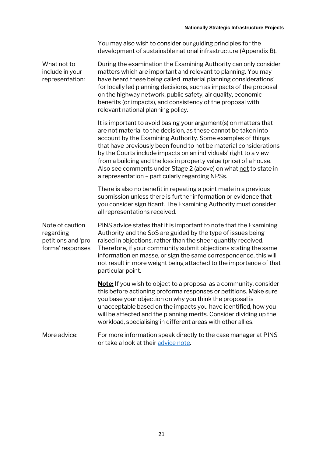|                                                                        | You may also wish to consider our guiding principles for the<br>development of sustainable national infrastructure (Appendix B).                                                                                                                                                                                                                                                                                                                                                                                                        |
|------------------------------------------------------------------------|-----------------------------------------------------------------------------------------------------------------------------------------------------------------------------------------------------------------------------------------------------------------------------------------------------------------------------------------------------------------------------------------------------------------------------------------------------------------------------------------------------------------------------------------|
| What not to<br>include in your<br>representation:                      | During the examination the Examining Authority can only consider<br>matters which are important and relevant to planning. You may<br>have heard these being called 'material planning considerations'<br>for locally led planning decisions, such as impacts of the proposal<br>on the highway network, public safety, air quality, economic<br>benefits (or impacts), and consistency of the proposal with<br>relevant national planning policy.                                                                                       |
|                                                                        | It is important to avoid basing your argument(s) on matters that<br>are not material to the decision, as these cannot be taken into<br>account by the Examining Authority. Some examples of things<br>that have previously been found to not be material considerations<br>by the Courts include impacts on an individuals' right to a view<br>from a building and the loss in property value (price) of a house.<br>Also see comments under Stage 2 (above) on what not to state in<br>a representation - particularly regarding NPSs. |
|                                                                        | There is also no benefit in repeating a point made in a previous<br>submission unless there is further information or evidence that<br>you consider significant. The Examining Authority must consider<br>all representations received.                                                                                                                                                                                                                                                                                                 |
| Note of caution<br>regarding<br>petitions and 'pro<br>forma' responses | PINS advice states that it is important to note that the Examining<br>Authority and the SoS are guided by the type of issues being<br>raised in objections, rather than the sheer quantity received.<br>Therefore, if your community submit objections stating the same<br>information en masse, or sign the same correspondence, this will<br>not result in more weight being attached to the importance of that<br>particular point.                                                                                                  |
|                                                                        | <b>Note:</b> If you wish to object to a proposal as a community, consider<br>this before actioning proforma responses or petitions. Make sure<br>you base your objection on why you think the proposal is<br>unacceptable based on the impacts you have identified, how you<br>will be affected and the planning merits. Consider dividing up the<br>workload, specialising in different areas with other allies.                                                                                                                       |
| More advice:                                                           | For more information speak directly to the case manager at PINS<br>or take a look at their advice note.                                                                                                                                                                                                                                                                                                                                                                                                                                 |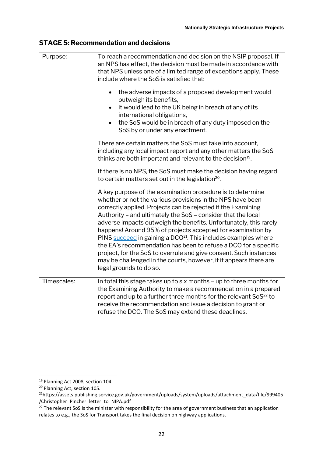## **STAGE 5: Recommendation and decisions**

| Purpose:    | To reach a recommendation and decision on the NSIP proposal. If<br>an NPS has effect, the decision must be made in accordance with<br>that NPS unless one of a limited range of exceptions apply. These<br>include where the SoS is satisfied that:<br>the adverse impacts of a proposed development would<br>$\bullet$<br>outweigh its benefits,<br>it would lead to the UK being in breach of any of its<br>$\bullet$<br>international obligations,<br>the SoS would be in breach of any duty imposed on the<br>SoS by or under any enactment.                                                                                                                                                                   |
|-------------|--------------------------------------------------------------------------------------------------------------------------------------------------------------------------------------------------------------------------------------------------------------------------------------------------------------------------------------------------------------------------------------------------------------------------------------------------------------------------------------------------------------------------------------------------------------------------------------------------------------------------------------------------------------------------------------------------------------------|
|             | There are certain matters the SoS must take into account,<br>including any local impact report and any other matters the SoS<br>thinks are both important and relevant to the decision <sup>19</sup> .                                                                                                                                                                                                                                                                                                                                                                                                                                                                                                             |
|             | If there is no NPS, the SoS must make the decision having regard<br>to certain matters set out in the legislation <sup>20</sup> .                                                                                                                                                                                                                                                                                                                                                                                                                                                                                                                                                                                  |
|             | A key purpose of the examination procedure is to determine<br>whether or not the various provisions in the NPS have been<br>correctly applied. Projects can be rejected if the Examining<br>Authority - and ultimately the SoS - consider that the local<br>adverse impacts outweigh the benefits. Unfortunately, this rarely<br>happens! Around 95% of projects accepted for examination by<br>PINS succeed in gaining a DCO <sup>21</sup> . This includes examples where<br>the EA's recommendation has been to refuse a DCO for a specific<br>project, for the SoS to overrule and give consent. Such instances<br>may be challenged in the courts, however, if it appears there are<br>legal grounds to do so. |
| Timescales: | In total this stage takes up to six months - up to three months for<br>the Examining Authority to make a recommendation in a prepared<br>report and up to a further three months for the relevant SoS <sup>22</sup> to<br>receive the recommendation and issue a decision to grant or<br>refuse the DCO. The SoS may extend these deadlines.                                                                                                                                                                                                                                                                                                                                                                       |

<sup>&</sup>lt;sup>19</sup> Planning Act 2008, section 104.

<sup>&</sup>lt;sup>20</sup> Planning Act, section 105.

<sup>21</sup>https://assets.publishing.service.gov.uk/government/uploads/system/uploads/attachment\_data/file/999405 /Christopher\_Pincher\_letter\_to\_NIPA.pdf

 $22$  The relevant SoS is the minister with responsibility for the area of government business that an application relates to e.g., the SoS for Transport takes the final decision on highway applications.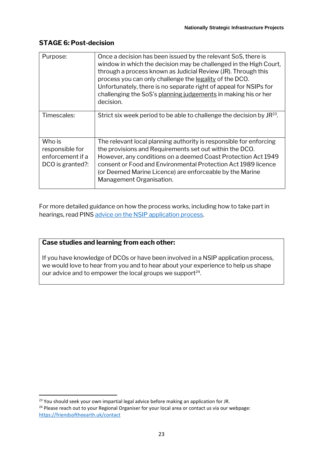## **STAGE 6: Post-decision**

| Purpose:                                                          | Once a decision has been issued by the relevant SoS, there is<br>window in which the decision may be challenged in the High Court,<br>through a process known as Judicial Review (JR). Through this<br>process you can only challenge the legality of the DCO.<br>Unfortunately, there is no separate right of appeal for NSIPs for<br>challenging the SoS's planning judgements in making his or her<br>decision. |
|-------------------------------------------------------------------|--------------------------------------------------------------------------------------------------------------------------------------------------------------------------------------------------------------------------------------------------------------------------------------------------------------------------------------------------------------------------------------------------------------------|
| Timescales:                                                       | Strict six week period to be able to challenge the decision by $JR^{23}$ .                                                                                                                                                                                                                                                                                                                                         |
| Who is<br>responsible for<br>enforcement if a<br>DCO is granted?: | The relevant local planning authority is responsible for enforcing<br>the provisions and Requirements set out within the DCO.<br>However, any conditions on a deemed Coast Protection Act 1949<br>consent or Food and Environmental Protection Act 1989 licence<br>(or Deemed Marine Licence) are enforceable by the Marine<br>Management Organisation.                                                            |

For more detailed guidance on how the process works, including how to take part in hearings, read PINS [advice on the NSIP application process.](https://infrastructure.planninginspectorate.gov.uk/application-process/the-process/)

## **Case studies and learning from each other:**

If you have knowledge of DCOs or have been involved in a NSIP application process, we would love to hear from you and to hear about your experience to help us shape our advice and to empower the local groups we support $^{24}$ .

<sup>&</sup>lt;sup>23</sup> You should seek your own impartial legal advice before making an application for JR.

<sup>&</sup>lt;sup>24</sup> Please reach out to your Regional Organiser for your local area or contact us via our webpage: <https://friendsoftheearth.uk/contact>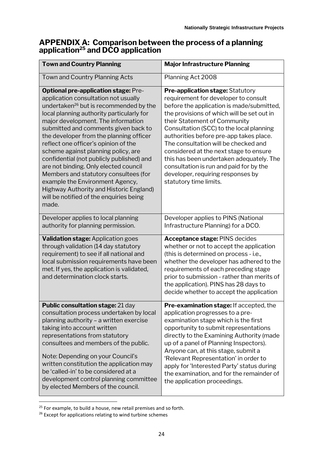# **APPENDIX A: Comparison between the process of a planning application<sup>25</sup> and DCO application**

| <b>Town and Country Planning</b>                                                                                                                                                                                                                                                                                                                                                                                                                                                                                                                                                                                                                                | <b>Major Infrastructure Planning</b>                                                                                                                                                                                                                                                                                                                                                                                                                                                                                                      |
|-----------------------------------------------------------------------------------------------------------------------------------------------------------------------------------------------------------------------------------------------------------------------------------------------------------------------------------------------------------------------------------------------------------------------------------------------------------------------------------------------------------------------------------------------------------------------------------------------------------------------------------------------------------------|-------------------------------------------------------------------------------------------------------------------------------------------------------------------------------------------------------------------------------------------------------------------------------------------------------------------------------------------------------------------------------------------------------------------------------------------------------------------------------------------------------------------------------------------|
| Town and Country Planning Acts                                                                                                                                                                                                                                                                                                                                                                                                                                                                                                                                                                                                                                  | Planning Act 2008                                                                                                                                                                                                                                                                                                                                                                                                                                                                                                                         |
| <b>Optional pre-application stage: Pre-</b><br>application consultation not usually<br>undertaken <sup>26</sup> but is recommended by the<br>local planning authority particularly for<br>major development. The information<br>submitted and comments given back to<br>the developer from the planning officer<br>reflect one officer's opinion of the<br>scheme against planning policy, are<br>confidential (not publicly published) and<br>are not binding. Only elected council<br>Members and statutory consultees (for<br>example the Environment Agency,<br>Highway Authority and Historic England)<br>will be notified of the enquiries being<br>made. | <b>Pre-application stage: Statutory</b><br>requirement for developer to consult<br>before the application is made/submitted,<br>the provisions of which will be set out in<br>their Statement of Community<br>Consultation (SCC) to the local planning<br>authorities before pre-app takes place.<br>The consultation will be checked and<br>considered at the next stage to ensure<br>this has been undertaken adequately. The<br>consultation is run and paid for by the<br>developer, requiring responses by<br>statutory time limits. |
| Developer applies to local planning<br>authority for planning permission.                                                                                                                                                                                                                                                                                                                                                                                                                                                                                                                                                                                       | Developer applies to PINS (National<br>Infrastructure Planning) for a DCO.                                                                                                                                                                                                                                                                                                                                                                                                                                                                |
| <b>Validation stage: Application goes</b><br>through validation (14 day statutory<br>requirement) to see if all national and<br>local submission requirements have been<br>met. If yes, the application is validated,<br>and determination clock starts.                                                                                                                                                                                                                                                                                                                                                                                                        | <b>Acceptance stage: PINS decides</b><br>whether or not to accept the application<br>(this is determined on process - i.e.,<br>whether the developer has adhered to the<br>requirements of each preceding stage<br>prior to submission - rather than merits of<br>the application). PINS has 28 days to<br>decide whether to accept the application                                                                                                                                                                                       |
| Public consultation stage: 21 day<br>consultation process undertaken by local<br>planning authority - a written exercise<br>taking into account written<br>representations from statutory<br>consultees and members of the public.<br>Note: Depending on your Council's<br>written constitution the application may<br>be 'called-in' to be considered at a<br>development control planning committee<br>by elected Members of the council.                                                                                                                                                                                                                     | Pre-examination stage: If accepted, the<br>application progresses to a pre-<br>examination stage which is the first<br>opportunity to submit representations<br>directly to the Examining Authority (made<br>up of a panel of Planning Inspectors).<br>Anyone can, at this stage, submit a<br>'Relevant Representation' in order to<br>apply for 'Interested Party' status during<br>the examination, and for the remainder of<br>the application proceedings.                                                                            |

 $25$  For example, to build a house, new retail premises and so forth.

<sup>&</sup>lt;sup>26</sup> Except for applications relating to wind turbine schemes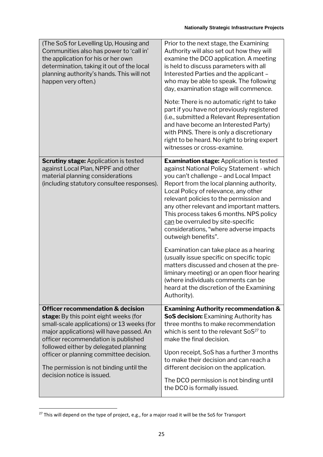| (The SoS for Levelling Up, Housing and<br>Communities also has power to 'call in'<br>the application for his or her own<br>determination, taking it out of the local<br>planning authority's hands. This will not<br>happen very often.)                                                                                                                                            | Prior to the next stage, the Examining<br>Authority will also set out how they will<br>examine the DCO application. A meeting<br>is held to discuss parameters with all<br>Interested Parties and the applicant -<br>who may be able to speak. The following<br>day, examination stage will commence.<br>Note: There is no automatic right to take<br>part if you have not previously registered<br>(i.e., submitted a Relevant Representation<br>and have become an Interested Party)<br>with PINS. There is only a discretionary<br>right to be heard. No right to bring expert<br>witnesses or cross-examine.                                                                                                                                        |
|-------------------------------------------------------------------------------------------------------------------------------------------------------------------------------------------------------------------------------------------------------------------------------------------------------------------------------------------------------------------------------------|---------------------------------------------------------------------------------------------------------------------------------------------------------------------------------------------------------------------------------------------------------------------------------------------------------------------------------------------------------------------------------------------------------------------------------------------------------------------------------------------------------------------------------------------------------------------------------------------------------------------------------------------------------------------------------------------------------------------------------------------------------|
| <b>Scrutiny stage: Application is tested</b><br>against Local Plan, NPPF and other<br>material planning considerations<br>(including statutory consultee responses).                                                                                                                                                                                                                | <b>Examination stage: Application is tested</b><br>against National Policy Statement - which<br>you can't challenge - and Local Impact<br>Report from the local planning authority,<br>Local Policy of relevance, any other<br>relevant policies to the permission and<br>any other relevant and important matters.<br>This process takes 6 months. NPS policy<br>can be overruled by site-specific<br>considerations, "where adverse impacts<br>outweigh benefits".<br>Examination can take place as a hearing<br>(usually issue specific on specific topic<br>matters discussed and chosen at the pre-<br>liminary meeting) or an open floor hearing<br>(where individuals comments can be<br>heard at the discretion of the Examining<br>Authority). |
| <b>Officer recommendation &amp; decision</b><br>stage: By this point eight weeks (for<br>small-scale applications) or 13 weeks (for<br>major applications) will have passed. An<br>officer recommendation is published<br>followed either by delegated planning<br>officer or planning committee decision.<br>The permission is not binding until the<br>decision notice is issued. | <b>Examining Authority recommendation &amp;</b><br><b>SoS decision:</b> Examining Authority has<br>three months to make recommendation<br>which is sent to the relevant SoS <sup>27</sup> to<br>make the final decision.<br>Upon receipt, SoS has a further 3 months<br>to make their decision and can reach a<br>different decision on the application.<br>The DCO permission is not binding until<br>the DCO is formally issued.                                                                                                                                                                                                                                                                                                                      |

<sup>&</sup>lt;sup>27</sup> This will depend on the type of project, e.g., for a major road it will be the SoS for Transport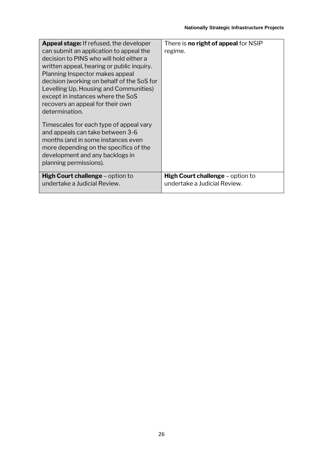| <b>Appeal stage:</b> If refused, the developer<br>can submit an application to appeal the<br>decision to PINS who will hold either a<br>written appeal, hearing or public inquiry.<br>Planning Inspector makes appeal<br>decision (working on behalf of the SoS for<br>Levelling Up, Housing and Communities)<br>except in instances where the SoS<br>recovers an appeal for their own<br>determination. | There is <b>no right of appeal</b> for NSIP<br>regime.                  |
|----------------------------------------------------------------------------------------------------------------------------------------------------------------------------------------------------------------------------------------------------------------------------------------------------------------------------------------------------------------------------------------------------------|-------------------------------------------------------------------------|
| Timescales for each type of appeal vary<br>and appeals can take between 3-6<br>months (and in some instances even<br>more depending on the specifics of the<br>development and any backlogs in<br>planning permissions).                                                                                                                                                                                 |                                                                         |
| <b>High Court challenge – option to</b><br>undertake a Judicial Review.                                                                                                                                                                                                                                                                                                                                  | <b>High Court challenge</b> – option to<br>undertake a Judicial Review. |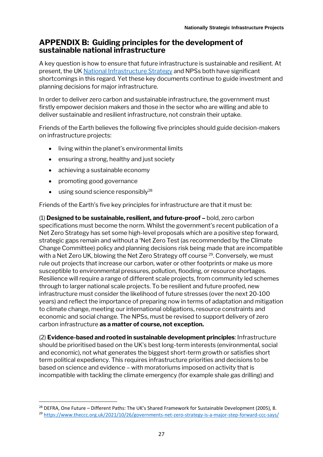# **APPENDIX B: Guiding principles for the development of sustainable national infrastructure**

A key question is how to ensure that future infrastructure is sustainable and resilient. At present, the UK [National Infrastructure Strategy](https://www.gov.uk/government/publications/national-infrastructure-strategy) and NPSs both have significant shortcomings in this regard. Yet these key documents continue to guide investment and planning decisions for major infrastructure.

In order to deliver zero carbon and sustainable infrastructure, the government must firstly empower decision makers and those in the sector who are willing and able to deliver sustainable and resilient infrastructure, not constrain their uptake.

Friends of the Earth believes the following five principles should guide decision-makers on infrastructure projects:

- living within the planet's environmental limits
- ensuring a strong, healthy and just society
- achieving a sustainable economy
- promoting good governance
- $\bullet$  using sound science responsibly<sup>28</sup>

Friends of the Earth's five key principles for infrastructure are that it must be:

(1) **Designed to be sustainable, resilient, and future-proof –** bold, zero carbon specifications must become the norm. Whilst the government's recent publication of a Net Zero Strategy has set some high-level proposals which are a positive step forward, strategic gaps remain and without a 'Net Zero Test (as recommended by the Climate Change Committee) policy and planning decisions risk being made that are incompatible with a Net Zero UK, blowing the Net Zero Strategy off course <sup>29</sup>. Conversely, we must rule out projects that increase our carbon, water or other footprints or make us more susceptible to environmental pressures, pollution, flooding, or resource shortages. Resilience will require a range of different scale projects, from community led schemes through to larger national scale projects. To be resilient and future proofed, new infrastructure must consider the likelihood of future stresses (over the next 20-100 years) and reflect the importance of preparing now in terms of adaptation and mitigation to climate change, meeting our international obligations, resource constraints and economic and social change. The NPSs, must be revised to support delivery of zero carbon infrastructure **as a matter of course, not exception.**

(2) **Evidence-based and rooted in sustainable development principles**: Infrastructure should be prioritised based on the UK's best long-term interests (environmental, social and economic), not what generates the biggest short-term growth or satisfies short term political expediency. This requires infrastructure priorities and decisions to be based on science and evidence – with moratoriums imposed on activity that is incompatible with tackling the climate emergency (for example shale gas drilling) and

 $28$  DEFRA, One Future – Different Paths: The UK's Shared Framework for Sustainable Development (2005), 8.

<sup>29</sup> <https://www.theccc.org.uk/2021/10/26/governments-net-zero-strategy-is-a-major-step-forward-ccc-says/>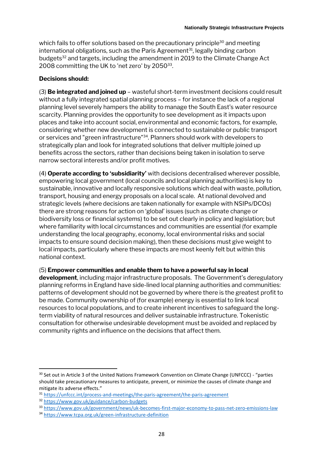which fails to offer solutions based on the precautionary principle<sup>30</sup> and meeting  $international$  obligations, such as the Paris Agreement<sup>31</sup>, legally binding carbon budgets<sup>32</sup> and targets, including the amendment in 2019 to the Climate Change Act 2008 committing the UK to 'net zero' by 2050 $^{33}$ .

#### **Decisions should:**

(3) **Be integrated and joined up** – wasteful short-term investment decisions could result without a fully integrated spatial planning process – for instance the lack of a regional planning level severely hampers the ability to manage the South East's water resource scarcity. Planning provides the opportunity to see development as it impacts upon places and take into account social, environmental and economic factors, for example, considering whether new development is connected to sustainable or public transport or services and "green infrastructure"<sup>34</sup>. Planners should work with developers to strategically plan and look for integrated solutions that deliver multiple joined up benefits across the sectors, rather than decisions being taken in isolation to serve narrow sectoral interests and/or profit motives.

(4) **Operate according to 'subsidiarity'** with decisions decentralised wherever possible, empowering local government (local councils and local planning authorities) is key to sustainable, innovative and locally responsive solutions which deal with waste, pollution, transport, housing and energy proposals on a local scale. At national devolved and strategic levels (where decisions are taken nationally for example with NSIPs/DCOs) there are strong reasons for action on 'global' issues (such as climate change or biodiversity loss or financial systems) to be set out clearly in policy and legislation; but where familiarity with local circumstances and communities are essential (for example understanding the local geography, economy, local environmental risks and social impacts to ensure sound decision making), then these decisions must give weight to local impacts, particularly where these impacts are most keenly felt but within this national context.

#### (5) **Empower communities and enable them to have a powerful say in local**

**development**, including major infrastructure proposals. The Government's deregulatory planning reforms in England have side-lined local planning authorities and communities: patterns of development should not be governed by where there is the greatest profit to be made. Community ownership of (for example) energy is essential to link local resources to local populations, and to create inherent incentives to safeguard the longterm viability of natural resources and deliver sustainable infrastructure. Tokenistic consultation for otherwise undesirable development must be avoided and replaced by community rights and influence on the decisions that affect them.

<sup>&</sup>lt;sup>30</sup> Set out in Article 3 of the United Nations Framework Convention on Climate Change (UNFCCC) - "parties should take precautionary measures to anticipate, prevent, or minimize the causes of climate change and mitigate its adverse effects."

<sup>31</sup> <https://unfccc.int/process-and-meetings/the-paris-agreement/the-paris-agreement>

<sup>32</sup> <https://www.gov.uk/guidance/carbon-budgets>

<sup>33</sup> <https://www.gov.uk/government/news/uk-becomes-first-major-economy-to-pass-net-zero-emissions-law>

<sup>34</sup> <https://www.tcpa.org.uk/green-infrastructure-definition>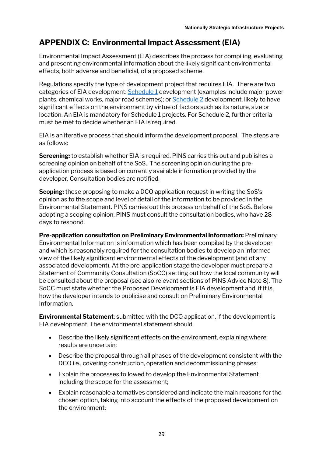# **APPENDIX C: Environmental Impact Assessment (EIA)**

Environmental Impact Assessment (EIA) describes the process for compiling, evaluating and presenting environmental information about the likely significant environmental effects, both adverse and beneficial, of a proposed scheme.

Regulations specify the type of development project that requires EIA. There are two categories of EIA development: Schedule 1 development (examples include major power plants, chemical works, major road schemes); or [Schedule 2](http://www.legislation.gov.uk/uksi/2017/571/schedule/2/made) development, likely to have significant effects on the environment by virtue of factors such as its nature, size or location. An EIA is mandatory for Schedule 1 projects. For Schedule 2, further criteria must be met to decide whether an EIA is required.

EIA is an iterative process that should inform the development proposal. The steps are as follows:

**Screening:** to establish whether EIA is required. PINS carries this out and publishes a screening opinion on behalf of the SoS. The screening opinion during the preapplication process is based on currently available information provided by the developer. Consultation bodies are notified.

**Scoping:** those proposing to make a DCO application request in writing the SoS's opinion as to the scope and level of detail of the information to be provided in the Environmental Statement. PINS carries out this process on behalf of the SoS. Before adopting a scoping opinion, PINS must consult the consultation bodies, who have 28 days to respond.

**Pre-application consultation on Preliminary Environmental Information:** Preliminary Environmental Information Is information which has been compiled by the developer and which is reasonably required for the consultation bodies to develop an informed view of the likely significant environmental effects of the development (and of any associated development). At the pre-application stage the developer must prepare a Statement of Community Consultation (SoCC) setting out how the local community will be consulted about the proposal (see also relevant sections of PINS Advice Note 8). The SoCC must state whether the Proposed Development is EIA development and, if it is, how the developer intends to publicise and consult on Preliminary Environmental Information.

**Environmental Statement**: submitted with the DCO application, if the development is EIA development. The environmental statement should:

- Describe the likely significant effects on the environment, explaining where results are uncertain;
- Describe the proposal through all phases of the development consistent with the DCO i.e., covering construction, operation and decommissioning phases;
- Explain the processes followed to develop the Environmental Statement including the scope for the assessment;
- Explain reasonable alternatives considered and indicate the main reasons for the chosen option, taking into account the effects of the proposed development on the environment;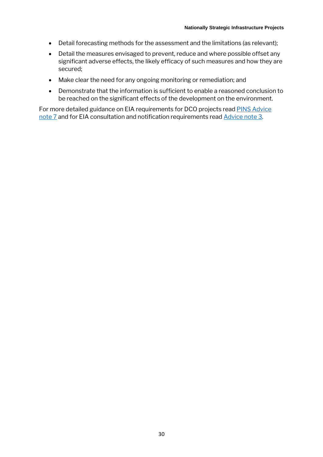- Detail forecasting methods for the assessment and the limitations (as relevant);
- Detail the measures envisaged to prevent, reduce and where possible offset any significant adverse effects, the likely efficacy of such measures and how they are secured;
- Make clear the need for any ongoing monitoring or remediation; and
- Demonstrate that the information is sufficient to enable a reasoned conclusion to be reached on the significant effects of the development on the environment.

For more detailed guidance on EIA requirements for DCO projects read [PINS Advice](https://infrastructure.planninginspectorate.gov.uk/wp-content/uploads/2017/12/Advice-note-7.pdf)  [note 7](https://infrastructure.planninginspectorate.gov.uk/wp-content/uploads/2017/12/Advice-note-7.pdf) and for EIA consultation and notification requirements read [Advice note 3.](https://www.google.com/url?sa=t&rct=j&q=&esrc=s&source=web&cd=&cad=rja&uact=8&ved=2ahUKEwiHqsrAu9TpAhUYHcAKHYdMBt0QFjABegQIARAB&url=https%3A%2F%2Finfrastructure.planninginspectorate.gov.uk%2Fwp-content%2Fuploads%2F2013%2F07%2Fadvice_note_3_v5.pdf&usg=AOvVaw2bZZoMyw0PhxyUtKycUPl7)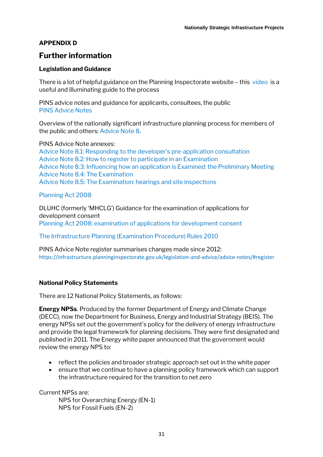## **APPENDIX D**

# **Further information**

#### **Legislation and Guidance**

There is a lot of helpfu[l guidance](https://infrastructure.planninginspectorate.gov.uk/application-process/the-process/) on the Planning Inspectorate website – this [video](https://infrastructure.planninginspectorate.gov.uk/application-process/participating-in-the-process/) is a useful and illuminating guide to the process

PINS advice notes and guidance for applicants, consultees, the public PIN[S Advice Notes](https://infrastructure.planninginspectorate.gov.uk/legislation-and-advice/advice-notes/)

Overview of the nationally significant infrastructure planning process for members of the public and others: [Advice Note 8.](https://infrastructure.planninginspectorate.gov.uk/wp-content/uploads/2013/04/Advice-note-8.0.pdf) 

PINS Advice Note annexes: [Advice Note 8.1: Responding to the developer's pre](https://infrastructure.planninginspectorate.gov.uk/wp-content/uploads/2013/04/Advice-note-8-1v4.pdf)-application consultation [Advice Note 8.2: How to register to participate in an Examination](https://infrastructure.planninginspectorate.gov.uk/wp-content/uploads/2013/04/Advice-note-8-2v3.pdf) [Advice Note 8.3: Influencing how an application is Examined: the Preliminary Meeting](https://infrastructure.planninginspectorate.gov.uk/wp-content/uploads/2014/06/Advice-note-8-3v4.pdf) [Advice Note 8.4: The Examination](https://infrastructure.planninginspectorate.gov.uk/wp-content/uploads/2013/04/Advice-note-8-4v3.pdf) [Advice Note 8.5: The Examination: hearings and site inspections](https://infrastructure.planninginspectorate.gov.uk/wp-content/uploads/2013/04/Advice-note-8-5v3.pdf)

#### [Planning Act 2008](https://www.legislation.gov.uk/ukpga/2008/29/contents)

DLUHC (formerly 'MHCLG') Guidance for the examination of applications for development consent [Planning Act 2008: examination of applications for development consent](https://www.gov.uk/government/uploads/system/uploads/attachment_data/file/418015/examinations_guidance-__final_for_publication.pdf)

#### [The Infrastructure Planning \(Examination Procedure\) Rules 2010](http://www.legislation.gov.uk/uksi/2010/103/contents/made)

PINS Advice Note register summarises changes made since 2012: <https://infrastructure.planninginspectorate.gov.uk/legislation-and-advice/advice-notes/#register>

#### **National Policy Statements**

There are 12 National Policy Statements, as follows:

**Energy NPSs**. Produced by the former Department of Energy and Climate Change (DECC), now the Department for Business, Energy and Industrial Strategy (BEIS). The energy NPSs set out the government's policy for the delivery of energy infrastructure and provide the legal framework for planning decisions. They were first designated and published in 2011. The Energy white paper announced that the government would review the energy NPS to:

- reflect the policies and broader strategic approach set out in the white paper
- ensure that we continue to have a planning policy framework which can support the infrastructure required for the transition to net zero

Current NPSs are:

NPS for Overarching Energy (EN-1) NPS for Fossil Fuels (EN-2)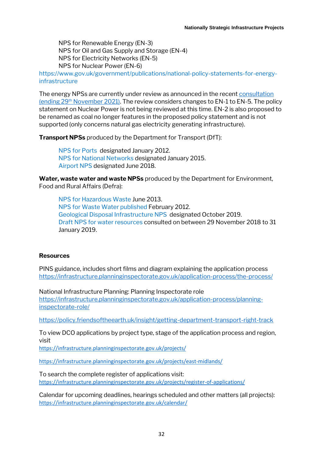NPS for Renewable Energy (EN-3) NPS for Oil and Gas Supply and Storage (EN-4) NPS for Electricity Networks (EN-5) NPS for Nuclear Power (EN-6)

[https://www.gov.uk/government/publications/national-policy-statements-for-energy](https://www.gov.uk/government/publications/national-policy-statements-for-energy-infrastructure)[infrastructure](https://www.gov.uk/government/publications/national-policy-statements-for-energy-infrastructure)

The energy NPSs are currently under review as announced in the recen[t consultation](https://www.gov.uk/government/consultations/planning-for-new-energy-infrastructure-review-of-energy-national-policy-statements)  (ending  $29<sup>th</sup>$  [November 2021\).](https://www.gov.uk/government/consultations/planning-for-new-energy-infrastructure-review-of-energy-national-policy-statements) The review considers changes to EN-1 to EN-5. The policy statement on Nuclear Power is not being reviewed at this time. EN-2 is also proposed to be renamed as coal no longer features in the proposed policy statement and is not supported (only concerns natural gas electricity generating infrastructure).

**Transport NPSs** produced by the Department for Transport (DfT):

[NPS for Ports](https://www.gov.uk/government/publications/national-policy-statement-for-ports) designated January 2012. [NPS for National Networks](https://www.gov.uk/government/speeches/national-networks-national-policy-statement) designated January 2015. [Airport NPS](https://www.gov.uk/government/publications/airports-national-policy-statement) designated June 2018.

**Water, waste water and waste NPSs** produced by the [Department for Environment,](https://www.gov.uk/government/organisations/department-for-environment-food-rural-affairs)  [Food and Rural Affairs](https://www.gov.uk/government/organisations/department-for-environment-food-rural-affairs) (Defra):

[NPS for Hazardous Waste](https://www.gov.uk/government/publications/hazardous-waste-national-policy-statement) June 2013. [NPS for Waste Water](https://www.gov.uk/government/publications/national-policy-statement-for-waste-water) published February 2012. [Geological Disposal Infrastructure NPS](https://assets.publishing.service.gov.uk/government/uploads/system/uploads/attachment_data/file/814491/national-policy-statement-geological-disposal-infrastructure.pdf) designated October 2019. [Draft NPS for water resources](https://consult.defra.gov.uk/water/draft-national-policy-statement/) consulted on between 29 November 2018 to 31 January 2019.

#### **Resources**

PINS guidance, includes short films and diagram explaining the application process <https://infrastructure.planninginspectorate.gov.uk/application-process/the-process/>

National Infrastructure Planning: Planning Inspectorate role [https://infrastructure.planninginspectorate.gov.uk/application-process/planning](https://infrastructure.planninginspectorate.gov.uk/application-process/planning-inspectorate-role/)[inspectorate-role/](https://infrastructure.planninginspectorate.gov.uk/application-process/planning-inspectorate-role/)

<https://policy.friendsoftheearth.uk/insight/getting-department-transport-right-track>

To view DCO applications by project type, stage of the application process and region, visit

<https://infrastructure.planninginspectorate.gov.uk/projects/>

https://infrastructure.planninginspectorate.gov.uk/projects/east-midlands/

To search the complete register of applications visit: <https://infrastructure.planninginspectorate.gov.uk/projects/register-of-applications/>

Calendar for upcoming deadlines, hearings scheduled and other matters (all projects): <https://infrastructure.planninginspectorate.gov.uk/calendar/>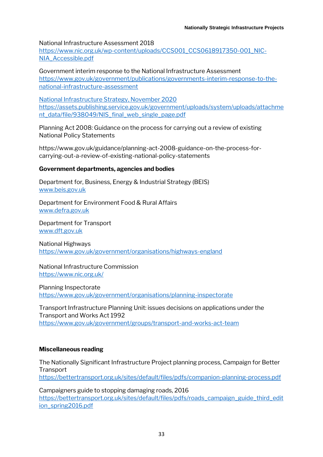National Infrastructure Assessment 2018

[https://www.nic.org.uk/wp-content/uploads/CCS001\\_CCS0618917350-001\\_NIC-](https://www.nic.org.uk/wp-content/uploads/CCS001_CCS0618917350-001_NIC-NIA_Accessible.pdf)[NIA\\_Accessible.pdf](https://www.nic.org.uk/wp-content/uploads/CCS001_CCS0618917350-001_NIC-NIA_Accessible.pdf)

Government interim response to the National Infrastructure Assessment [https://www.gov.uk/government/publications/governments-interim-response-to-the](https://www.gov.uk/government/publications/governments-interim-response-to-the-national-infrastructure-assessment)[national-infrastructure-assessment](https://www.gov.uk/government/publications/governments-interim-response-to-the-national-infrastructure-assessment)

National Infrastructure Strategy, November 2020 [https://assets.publishing.service.gov.uk/government/uploads/system/uploads/attachme](https://assets.publishing.service.gov.uk/government/uploads/system/uploads/attachment_data/file/938049/NIS_final_web_single_page.pdf) [nt\\_data/file/938049/NIS\\_final\\_web\\_single\\_page.pdf](https://assets.publishing.service.gov.uk/government/uploads/system/uploads/attachment_data/file/938049/NIS_final_web_single_page.pdf)

Planning Act 2008: Guidance on the process for carrying out a review of existing National Policy Statements

https://www.gov.uk/guidance/planning-act-2008-guidance-on-the-process-forcarrying-out-a-review-of-existing-national-policy-statements

#### **Government departments, agencies and bodies**

Department for, Business, Energy & Industrial Strategy (BEIS) [www.beis.gov.uk](http://www.beis.gov.uk/)

Department for Environment Food & Rural Affairs [www.defra.gov.uk](http://www.defra.gov.uk/)

Department for Transport [www.dft.gov.uk](http://www.dft.gov.uk/)

National Highways <https://www.gov.uk/government/organisations/highways-england>

National Infrastructure Commission <https://www.nic.org.uk/>

Planning Inspectorate <https://www.gov.uk/government/organisations/planning-inspectorate>

Transport Infrastructure Planning Unit: issues decisions on applications under the Transport and Works Act 1992 [https://www.gov.uk/government/groups/transport-and-works-act-team](https://foecentral.sharepoint.com/campaigns/rru/Documents/Planning/Community%20Rights%20Resource%20Pack/NSIPs/Transport%20Infrastructure%20Planning%20Unit%20%20This%20unit%20issues%20decisions%20on%20applications%20under%20the%20Transport%20and%20Works%20Act%201992)

#### **Miscellaneous reading**

The Nationally Significant Infrastructure Project planning process, Campaign for Better **Transport** 

<https://bettertransport.org.uk/sites/default/files/pdfs/companion-planning-process.pdf>

Campaigners guide to stopping damaging roads, 2016 [https://bettertransport.org.uk/sites/default/files/pdfs/roads\\_campaign\\_guide\\_third\\_edit](https://bettertransport.org.uk/sites/default/files/pdfs/roads_campaign_guide_third_edition_spring2016.pdf) [ion\\_spring2016.pdf](https://bettertransport.org.uk/sites/default/files/pdfs/roads_campaign_guide_third_edition_spring2016.pdf)